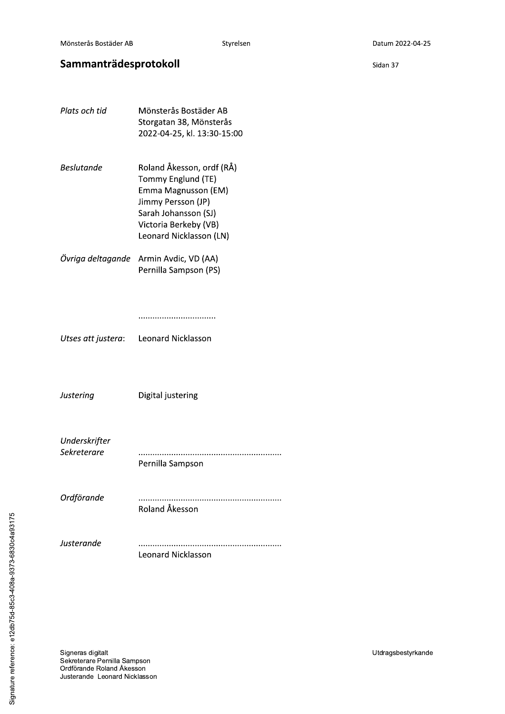Sidan 37

# Sammanträdesprotokoll

Plats och tid Mönsterås Bostäder AB Storgatan 38, Mönsterås 2022-04-25, kl. 13:30-15:00 **Beslutande** Roland Åkesson, ordf (RÅ) Tommy Englund (TE) Emma Magnusson (EM) Jimmy Persson (JP) Sarah Johansson (SJ) Victoria Berkeby (VB) Leonard Nicklasson (LN) Övriga deltagande Armin Avdic, VD (AA) Pernilla Sampson (PS) Utses att justera: Leonard Nicklasson Justering Digital justering Underskrifter Sekreterare Pernilla Sampson Ordförande Roland Åkesson Justerande Leonard Nicklasson

Signeras digitalt Sekreterare Pernilla Sampson Ordförande Roland Åkesson Justerande Leonard Nicklasson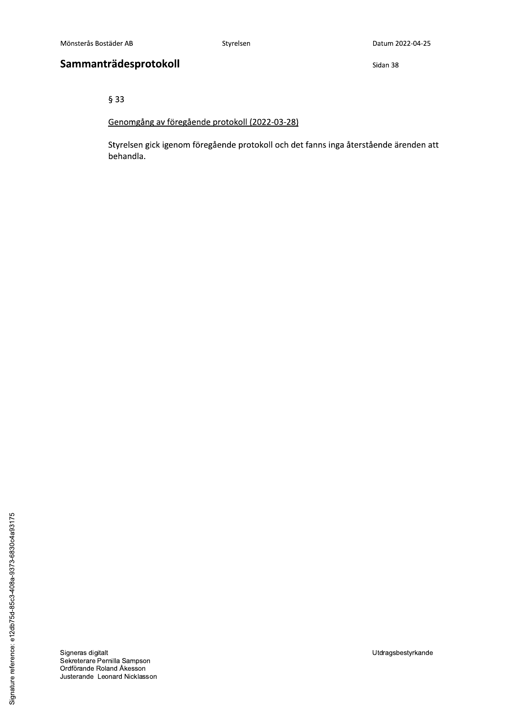Sidan 38

 $§$ 33

## Genomgång av föregående protokoll (2022-03-28)

Styrelsen gick igenom föregående protokoll och det fanns inga återstående ärenden att behandla.

Signeras digitalt<br>Sekreterare Pernilla Sampson Ordförande Roland Åkesson Justerande Leonard Nicklasson Utdragsbestyrkande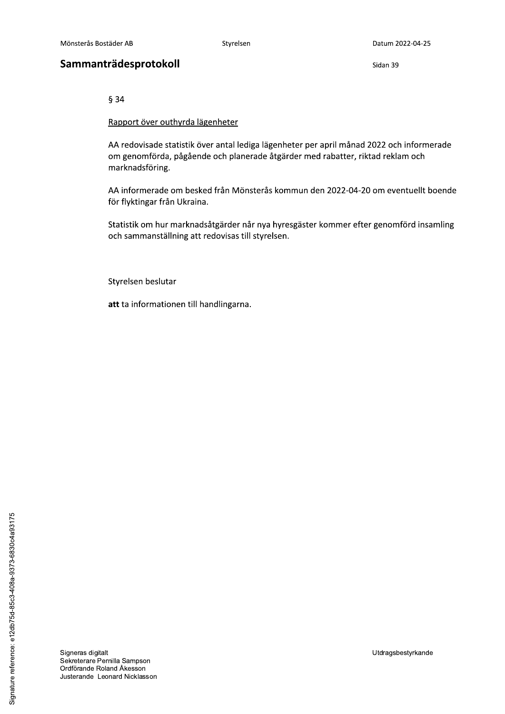Styrelsen

## Sammanträdesprotokoll

Sidan 39

 $§ 34$ 

Rapport över outhyrda lägenheter

AA redovisade statistik över antal lediga lägenheter per april månad 2022 och informerade om genomförda, pågående och planerade åtgärder med rabatter, riktad reklam och marknadsföring.

AA informerade om besked från Mönsterås kommun den 2022-04-20 om eventuellt boende för flyktingar från Ukraina.

Statistik om hur marknadsåtgärder når nya hyresgäster kommer efter genomförd insamling och sammanställning att redovisas till styrelsen.

Styrelsen beslutar

att ta informationen till handlingarna.

Signature reference: e12db75d-85c3-408a-9373-6830c4a93175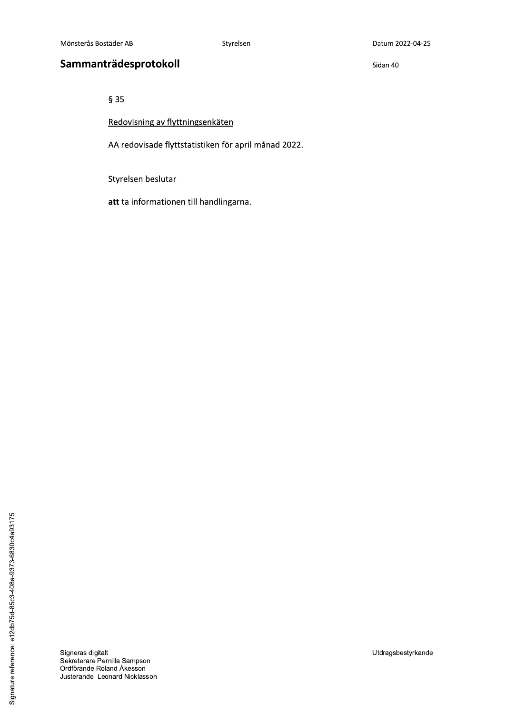Sidan 40

 $§ 35$ 

Redovisning av flyttningsenkäten

AA redovisade flyttstatistiken för april månad 2022.

Styrelsen beslutar

att ta informationen till handlingarna.

Signeras digitalt<br>Sekreterare Pernilla Sampson Ordförande Roland Åkesson Justerande Leonard Nicklasson Utdragsbestyrkande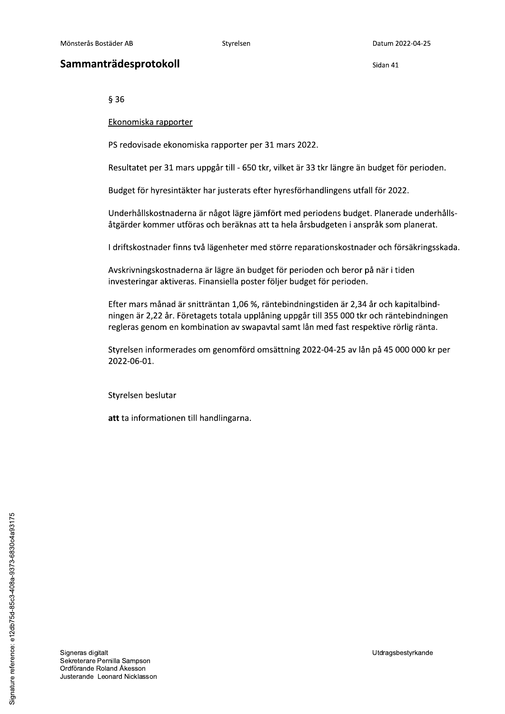$§$ 36

Ekonomiska rapporter

PS redovisade ekonomiska rapporter per 31 mars 2022.

Mönsterås Bostäder AB Styrelsen Datum 202<br> **Sammanträdesprotokoll** Sidan 41<br>
§ 36<br>
<u>Ekonomiska rapporter</u><br>
PS redovisade ekonomiska rapporter per 31 mars 2022.<br>
Resultatet per 31 mars uppgår till - 650 tkr, vilket är 33 tk Resultatet per 31 mars uppgar till - 650 tkr, vilket är 33 tkr längre an budget för perioden.

Budget for hyresintakter har justerats efter hyresforhandlingens utfall for 2022.

Underhållskostnaderna är något lägre jämfört med periodens budget. Planerade underhållsåtgärder kommer utföras och beräknas att ta hela årsbudgeten i anspråk som planerat.

l driftskostnader finns två lagenheter med storre reparationskostnader och forsakringsskada.

Avskrivningskostnaderna är lägre än budget för perioden och berör på när i tiden investeringar aktiveras. Finansiella poster följer budget för perioden.

Efter mars månad är snitträntan 1,06 %, räntebindningstiden är 2,34 år och kapitalbindningen är 2,22 år. Företagets totala upplåning uppgår till 355 000 tkr och räntebindningen regleras genom en kombination av swapavtal samt lån med fast respektive rörlig ränta.

Styrelsen informerades om genomförd omsättning 2022-04-25 av lån på 45 000 000 kr per 2022-06-01.

Styrelsen beslutar

att ta informationen till handlingarna.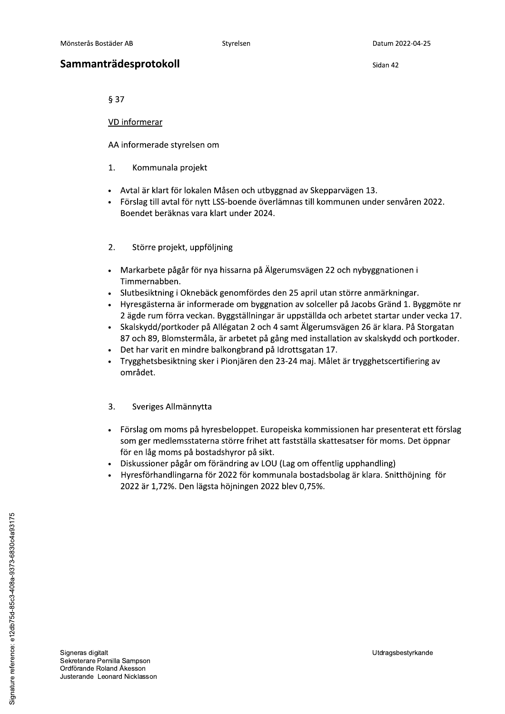Sidan 42

 $§ 37$ 

VD informerar

AA informerade styrelsen om

- $\mathbf{1}$ . Kommunala projekt
- Avtal är klart för lokalen Måsen och utbyggnad av Skepparvägen 13.
- Förslag till avtal för nytt LSS-boende överlämnas till kommunen under senvåren 2022. Boendet beräknas vara klart under 2024.
- $2.$ Större projekt, uppföljning
- · Markarbete pågår för nya hissarna på Älgerumsvägen 22 och nybyggnationen i Timmernabben.
- Slutbesiktning i Oknebäck genomfördes den 25 april utan större anmärkningar.
- Hyresgästerna är informerade om byggnation av solceller på Jacobs Gränd 1. Byggmöte nr 2 ägde rum förra veckan. Byggställningar är uppställda och arbetet startar under vecka 17.
- Skalskydd/portkoder på Allégatan 2 och 4 samt Älgerumsvägen 26 är klara. På Storgatan 87 och 89, Blomstermåla, är arbetet på gång med installation av skalskydd och portkoder.
- Det har varit en mindre balkongbrand på Idrottsgatan 17.
- Trygghetsbesiktning sker i Pionjären den 23-24 maj. Målet är trygghetscertifiering av området.

## $3.$ Sveriges Allmännytta

- · Förslag om moms på hyresbeloppet. Europeiska kommissionen har presenterat ett förslag som ger medlemsstaterna större frihet att fastställa skattesatser för moms. Det öppnar för en låg moms på bostadshyror på sikt.
- Diskussioner pågår om förändring av LOU (Lag om offentlig upphandling)
- Hyresförhandlingarna för 2022 för kommunala bostadsbolag är klara. Snitthöjning för 2022 är 1,72%. Den lägsta höjningen 2022 blev 0,75%.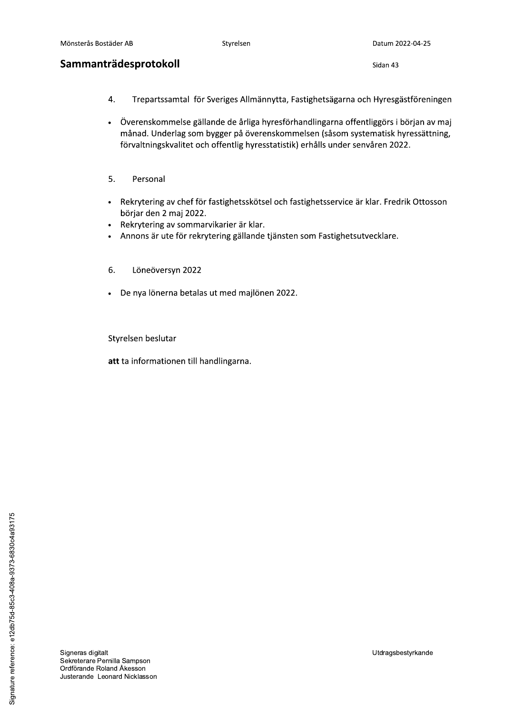Sidan 43

- $\overline{4}$ . Trepartssamtal för Sveriges Allmännytta, Fastighetsägarna och Hyresgästföreningen
- Överenskommelse gällande de årliga hyresförhandlingarna offentliggörs i början av maj  $\bullet$ månad. Underlag som bygger på överenskommelsen (såsom systematisk hyressättning, förvaltningskvalitet och offentlig hyresstatistik) erhålls under senvåren 2022.
- 5. Personal
- Rekrytering av chef för fastighetsskötsel och fastighetsservice är klar. Fredrik Ottosson börjar den 2 maj 2022.
- Rekrytering av sommarvikarier är klar.
- Annons är ute för rekrytering gällande tjänsten som Fastighetsutvecklare.
- 6. Löneöversyn 2022
- · De nya lönerna betalas ut med majlönen 2022.

Styrelsen beslutar

att ta informationen till handlingarna.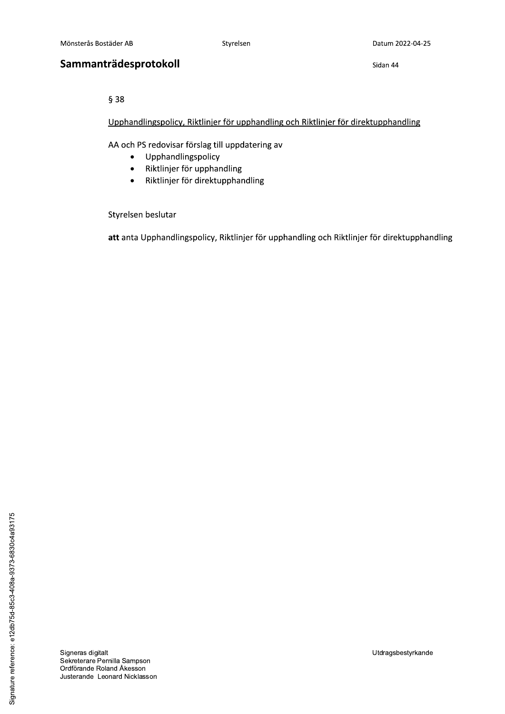$§ 38$ 

Mönsterås Bostäder AB Styrelsen Datum 202<br> **Sammanträdesprotokoll** Sidan 44<br>  $\frac{6}{3}$  38<br>
<u>Upphandlingspolicy, Riktlinier för upphandling och Riktlinier för direktupphand</u><br>
AA och PS redovisar förslag till uppdatering av<br> <u>Upphandlingspolicy, Riktlinjer for upphandling och Riktlinjer for direktupphandling</u>

AA och PS redovisar förslag till uppdatering av

- Upphandlingspolicy<br>• Riktlinjer för upphar
- Riktlinjer för upphandling<br>• Riktlinjer för direktupphar
- Riktlinjer för direktupphandling

Styrelsen beslutar

<mark>att</mark> anta Upphandlingspolicy, Riktlinjer for upphandling och Riktlinjer for direktupphandling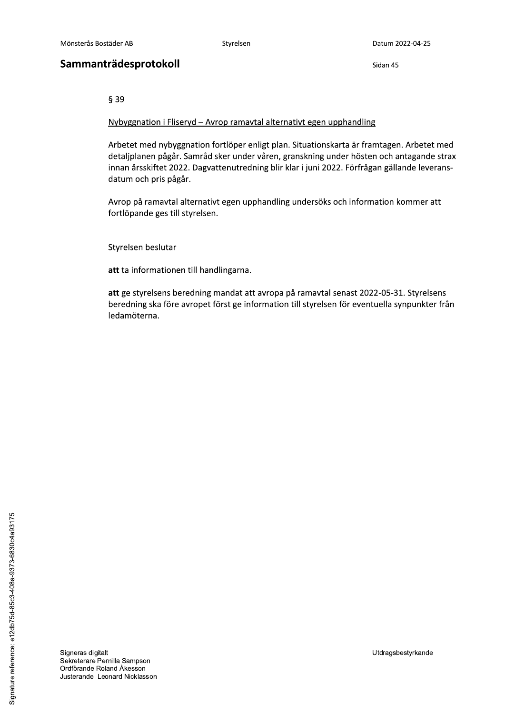Sidan 45

 $§$ 39

Nybyggnation i Fliseryd - Avrop ramavtal alternativt egen upphandling

Arbetet med nybyggnation fortlöper enligt plan. Situationskarta är framtagen. Arbetet med detaljplanen pågår. Samråd sker under våren, granskning under hösten och antagande strax innan årsskiftet 2022. Dagvattenutredning blir klar i juni 2022. Förfrågan gällande leveransdatum och pris pågår.

Avrop på ramavtal alternativt egen upphandling undersöks och information kommer att fortlöpande ges till styrelsen.

Styrelsen beslutar

att ta informationen till handlingarna.

att ge styrelsens beredning mandat att avropa på ramavtal senast 2022-05-31. Styrelsens beredning ska före avropet först ge information till styrelsen för eventuella synpunkter från ledamöterna.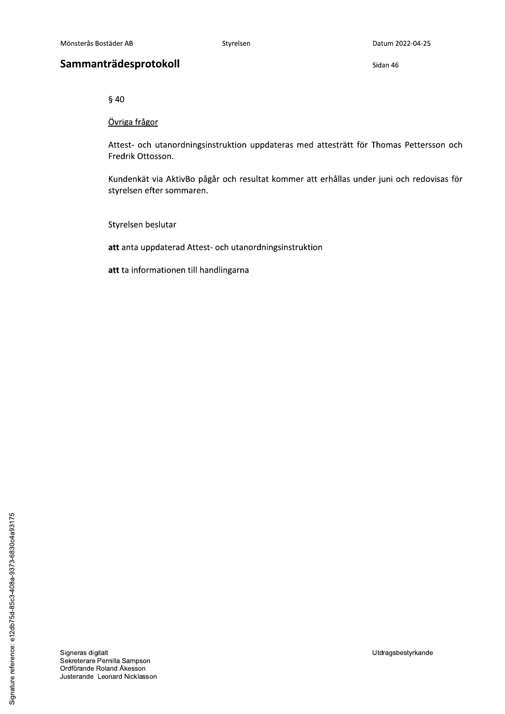Sidan 46

 $§$  40

Övriga frågor

Attest- och utanordningsinstruktion uppdateras med attesträtt för Thomas Pettersson och Fredrik Ottosson.

Kundenkät via AktivBo pågår och resultat kommer att erhållas under juni och redovisas för styrelsen efter sommaren.

Styrelsen beslutar

att anta uppdaterad Attest- och utanordningsinstruktion

att ta informationen till handlingarna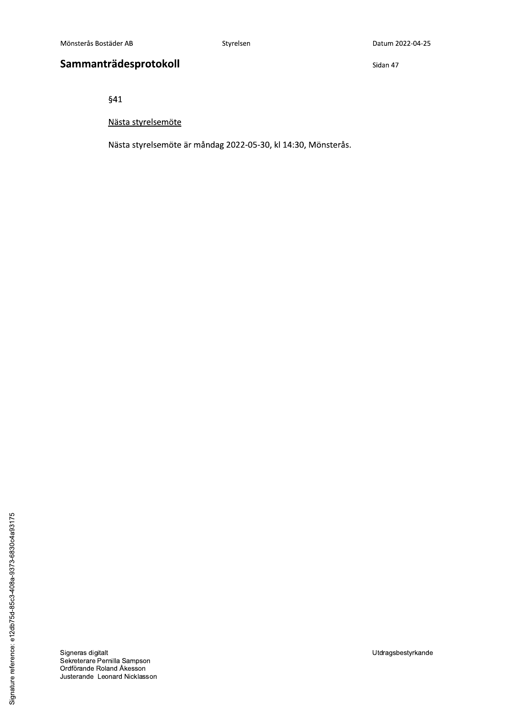Sidan 47

 $§41$ 

Nästa styrelsemöte

Nästa styrelsemöte är måndag 2022-05-30, kl 14:30, Mönsterås.

Signeras digitalt<br>Sekreterare Pernilla Sampson<br>Ordförande Roland Åkesson Justerande Leonard Nicklasson

Utdragsbestyrkande